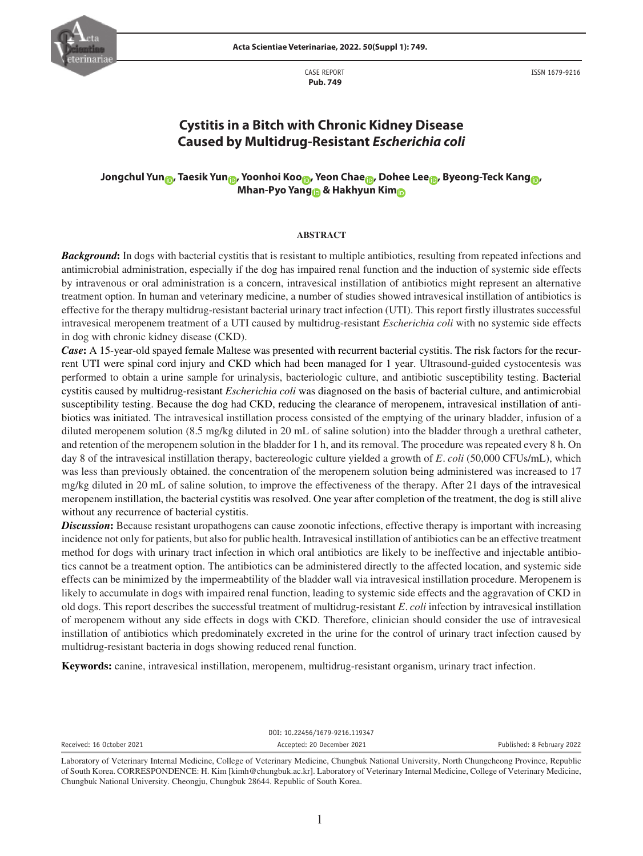

CASE REPORT  **Pub. 749**

ISSN 1679-9216

# **Cystitis in a Bitch with Chronic Kidney Disease Caused by Multidrug-Resistant** *Escherichia coli*

## **Jongchul Yun , Taesik Yun , Yoonhoi Koo , Yeon Chae , Dohee Lee , Byeong-Teck Kang , Mhan-Pyo Yang & Hakhyun Kim**

#### **ABSTRACT**

*Background*: In dogs with bacterial cystitis that is resistant to multiple antibiotics, resulting from repeated infections and antimicrobial administration, especially if the dog has impaired renal function and the induction of systemic side effects by intravenous or oral administration is a concern, intravesical instillation of antibiotics might represent an alternative treatment option. In human and veterinary medicine, a number of studies showed intravesical instillation of antibiotics is effective for the therapy multidrug-resistant bacterial urinary tract infection (UTI). This report firstly illustrates successful intravesical meropenem treatment of a UTI caused by multidrug-resistant *Escherichia coli* with no systemic side effects in dog with chronic kidney disease (CKD).

*Case***:** A 15-year-old spayed female Maltese was presented with recurrent bacterial cystitis. The risk factors for the recurrent UTI were spinal cord injury and CKD which had been managed for 1 year. Ultrasound-guided cystocentesis was performed to obtain a urine sample for urinalysis, bacteriologic culture, and antibiotic susceptibility testing. Bacterial cystitis caused by multidrug-resistant *Escherichia coli* was diagnosed on the basis of bacterial culture, and antimicrobial susceptibility testing. Because the dog had CKD, reducing the clearance of meropenem, intravesical instillation of antibiotics was initiated. The intravesical instillation process consisted of the emptying of the urinary bladder, infusion of a diluted meropenem solution (8.5 mg/kg diluted in 20 mL of saline solution) into the bladder through a urethral catheter, and retention of the meropenem solution in the bladder for 1 h, and its removal. The procedure was repeated every 8 h. On day 8 of the intravesical instillation therapy, bactereologic culture yielded a growth of *E. coli* (50,000 CFUs/mL), which was less than previously obtained. the concentration of the meropenem solution being administered was increased to 17 mg/kg diluted in 20 mL of saline solution, to improve the effectiveness of the therapy. After 21 days of the intravesical meropenem instillation, the bacterial cystitis was resolved. One year after completion of the treatment, the dog is still alive without any recurrence of bacterial cystitis.

**Discussion:** Because resistant uropathogens can cause zoonotic infections, effective therapy is important with increasing incidence not only for patients, but also for public health. Intravesical instillation of antibiotics can be an effective treatment method for dogs with urinary tract infection in which oral antibiotics are likely to be ineffective and injectable antibiotics cannot be a treatment option. The antibiotics can be administered directly to the affected location, and systemic side effects can be minimized by the impermeabtility of the bladder wall via intravesical instillation procedure. Meropenem is likely to accumulate in dogs with impaired renal function, leading to systemic side effects and the aggravation of CKD in old dogs. This report describes the successful treatment of multidrug-resistant *E. coli* infection by intravesical instillation of meropenem without any side effects in dogs with CKD. Therefore, clinician should consider the use of intravesical instillation of antibiotics which predominately excreted in the urine for the control of urinary tract infection caused by multidrug-resistant bacteria in dogs showing reduced renal function.

**Keywords:** canine, intravesical instillation, meropenem, multidrug-resistant organism, urinary tract infection.

DOI: 10.22456/1679-9216.119347 Received: 16 October 2021 **Accepted: 20 December 2021** Accepted: 20 December 2021 **Published: 8 February 2022** 

Laboratory of Veterinary Internal Medicine, College of Veterinary Medicine, Chungbuk National University, North Chungcheong Province, Republic of South Korea. CORRESPONDENCE: H. Kim [kimh@chungbuk.ac.kr]. Laboratory of Veterinary Internal Medicine, College of Veterinary Medicine, Chungbuk National University. Cheongju, Chungbuk 28644. Republic of South Korea.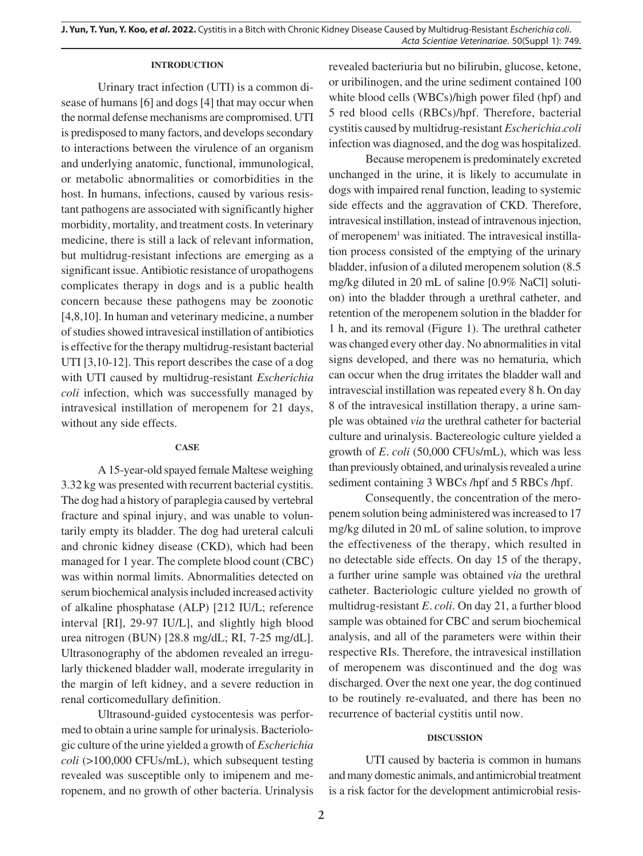### **INTRODUCTION**

Urinary tract infection (UTI) is a common disease of humans [6] and dogs [4] that may occur when the normal defense mechanisms are compromised. UTI is predisposed to many factors, and develops secondary to interactions between the virulence of an organism and underlying anatomic, functional, immunological, or metabolic abnormalities or comorbidities in the host. In humans, infections, caused by various resistant pathogens are associated with significantly higher morbidity, mortality, and treatment costs. In veterinary medicine, there is still a lack of relevant information, but multidrug-resistant infections are emerging as a significant issue. Antibiotic resistance of uropathogens complicates therapy in dogs and is a public health concern because these pathogens may be zoonotic [4,8,10]. In human and veterinary medicine, a number of studies showed intravesical instillation of antibiotics is effective for the therapy multidrug-resistant bacterial UTI [3,10-12]. This report describes the case of a dog with UTI caused by multidrug-resistant *Escherichia coli* infection, which was successfully managed by intravesical instillation of meropenem for 21 days, without any side effects.

#### **CASE**

A 15-year-old spayed female Maltese weighing 3.32 kg was presented with recurrent bacterial cystitis. The dog had a history of paraplegia caused by vertebral fracture and spinal injury, and was unable to voluntarily empty its bladder. The dog had ureteral calculi and chronic kidney disease (CKD), which had been managed for 1 year. The complete blood count (CBC) was within normal limits. Abnormalities detected on serum biochemical analysis included increased activity of alkaline phosphatase (ALP) [212 IU/L; reference interval [RI], 29-97 IU/L], and slightly high blood urea nitrogen (BUN) [28.8 mg/dL; RI, 7-25 mg/dL]. Ultrasonography of the abdomen revealed an irregularly thickened bladder wall, moderate irregularity in the margin of left kidney, and a severe reduction in renal corticomedullary definition.

Ultrasound-guided cystocentesis was performed to obtain a urine sample for urinalysis. Bacteriologic culture of the urine yielded a growth of *Escherichia coli* (>100,000 CFUs/mL), which subsequent testing revealed was susceptible only to imipenem and meropenem, and no growth of other bacteria. Urinalysis revealed bacteriuria but no bilirubin, glucose, ketone, or uribilinogen, and the urine sediment contained 100 white blood cells (WBCs)/high power filed (hpf) and 5 red blood cells (RBCs)/hpf. Therefore, bacterial cystitis caused by multidrug-resistant *Escherichia.coli* infection was diagnosed, and the dog was hospitalized.

Because meropenem is predominately excreted unchanged in the urine, it is likely to accumulate in dogs with impaired renal function, leading to systemic side effects and the aggravation of CKD. Therefore, intravesical instillation, instead of intravenous injection, of meropenem<sup>1</sup> was initiated. The intravesical instillation process consisted of the emptying of the urinary bladder, infusion of a diluted meropenem solution (8.5 mg/kg diluted in 20 mL of saline [0.9% NaCl] solution) into the bladder through a urethral catheter, and retention of the meropenem solution in the bladder for 1 h, and its removal (Figure 1). The urethral catheter was changed every other day. No abnormalities in vital signs developed, and there was no hematuria, which can occur when the drug irritates the bladder wall and intravescial instillation was repeated every 8 h. On day 8 of the intravesical instillation therapy, a urine sample was obtained *via* the urethral catheter for bacterial culture and urinalysis. Bactereologic culture yielded a growth of *E. coli* (50,000 CFUs/mL), which was less than previously obtained, and urinalysis revealed a urine sediment containing 3 WBCs /hpf and 5 RBCs /hpf.

Consequently, the concentration of the meropenem solution being administered was increased to 17 mg/kg diluted in 20 mL of saline solution, to improve the effectiveness of the therapy, which resulted in no detectable side effects. On day 15 of the therapy, a further urine sample was obtained *via* the urethral catheter. Bacteriologic culture yielded no growth of multidrug-resistant *E. coli*. On day 21, a further blood sample was obtained for CBC and serum biochemical analysis, and all of the parameters were within their respective RIs. Therefore, the intravesical instillation of meropenem was discontinued and the dog was discharged. Over the next one year, the dog continued to be routinely re-evaluated, and there has been no recurrence of bacterial cystitis until now.

#### **DISCUSSION**

UTI caused by bacteria is common in humans and many domestic animals, and antimicrobial treatment is a risk factor for the development antimicrobial resis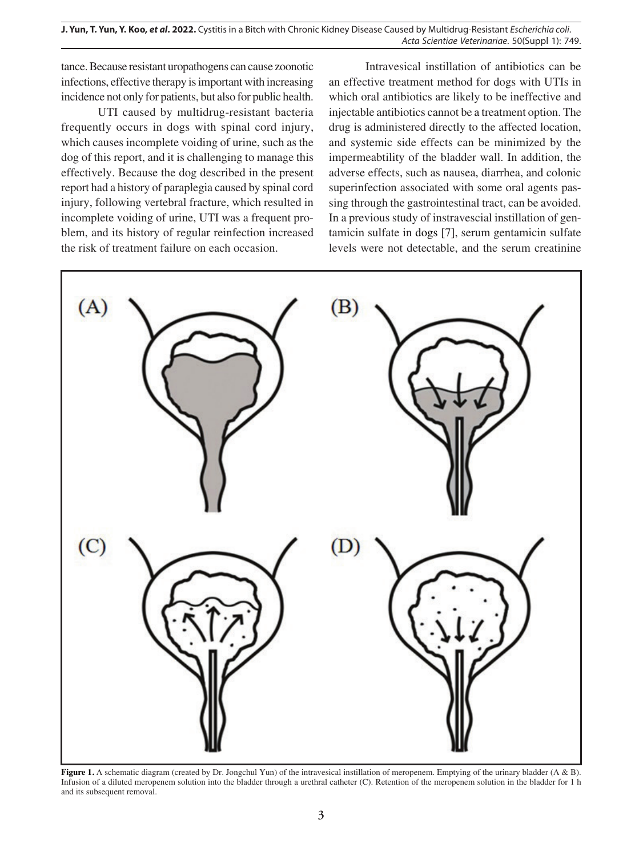**J. Yun, T. Yun, Y. Koo,** *et al***. 2022.** Cystitis in a Bitch with Chronic Kidney Disease Caused by Multidrug-Resistant *Escherichia coli*. *Acta Scientiae Veterinariae*. 50(Suppl 1): 749.

tance. Because resistant uropathogens can cause zoonotic infections, effective therapy is important with increasing incidence not only for patients, but also for public health.

UTI caused by multidrug-resistant bacteria frequently occurs in dogs with spinal cord injury, which causes incomplete voiding of urine, such as the dog of this report, and it is challenging to manage this effectively. Because the dog described in the present report had a history of paraplegia caused by spinal cord injury, following vertebral fracture, which resulted in incomplete voiding of urine, UTI was a frequent problem, and its history of regular reinfection increased the risk of treatment failure on each occasion.

Intravesical instillation of antibiotics can be an effective treatment method for dogs with UTIs in which oral antibiotics are likely to be ineffective and injectable antibiotics cannot be a treatment option. The drug is administered directly to the affected location, and systemic side effects can be minimized by the impermeabtility of the bladder wall. In addition, the adverse effects, such as nausea, diarrhea, and colonic superinfection associated with some oral agents passing through the gastrointestinal tract, can be avoided. In a previous study of instravescial instillation of gentamicin sulfate in dogs [7], serum gentamicin sulfate levels were not detectable, and the serum creatinine



**Figure 1.** A schematic diagram (created by Dr. Jongchul Yun) of the intravesical instillation of meropenem. Emptying of the urinary bladder (A & B). Infusion of a diluted meropenem solution into the bladder through a urethral catheter (C). Retention of the meropenem solution in the bladder for 1 h and its subsequent removal.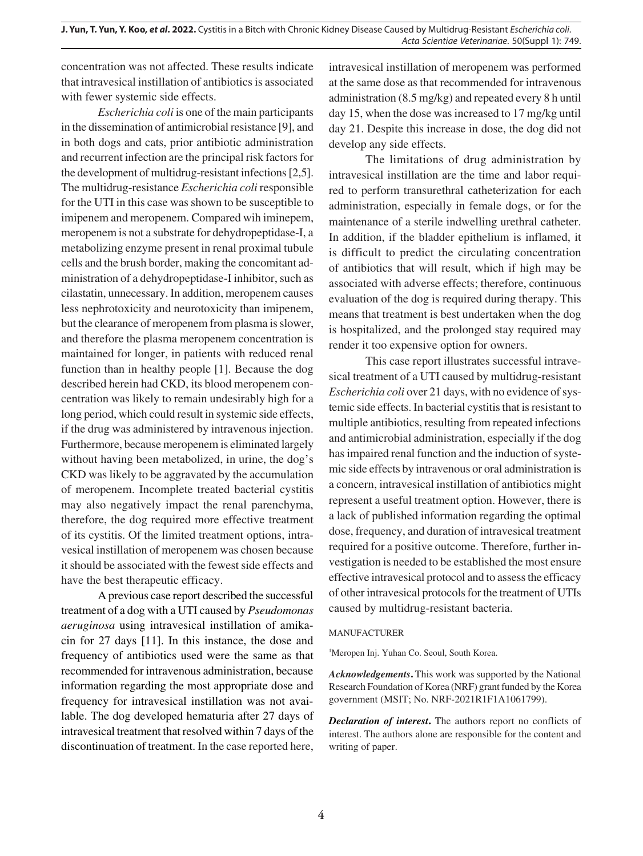concentration was not affected. These results indicate that intravesical instillation of antibiotics is associated with fewer systemic side effects.

*Escherichia coli* is one of the main participants in the dissemination of antimicrobial resistance [9], and in both dogs and cats, prior antibiotic administration and recurrent infection are the principal risk factors for the development of multidrug-resistant infections [2,5]. The multidrug-resistance *Escherichia coli* responsible for the UTI in this case was shown to be susceptible to imipenem and meropenem. Compared wih iminepem, meropenem is not a substrate for dehydropeptidase-I, a metabolizing enzyme present in renal proximal tubule cells and the brush border, making the concomitant administration of a dehydropeptidase-I inhibitor, such as cilastatin, unnecessary. In addition, meropenem causes less nephrotoxicity and neurotoxicity than imipenem, but the clearance of meropenem from plasma is slower, and therefore the plasma meropenem concentration is maintained for longer, in patients with reduced renal function than in healthy people [1]. Because the dog described herein had CKD, its blood meropenem concentration was likely to remain undesirably high for a long period, which could result in systemic side effects, if the drug was administered by intravenous injection. Furthermore, because meropenem is eliminated largely without having been metabolized, in urine, the dog's CKD was likely to be aggravated by the accumulation of meropenem. Incomplete treated bacterial cystitis may also negatively impact the renal parenchyma, therefore, the dog required more effective treatment of its cystitis. Of the limited treatment options, intravesical instillation of meropenem was chosen because it should be associated with the fewest side effects and have the best therapeutic efficacy.

A previous case report described the successful treatment of a dog with a UTI caused by *Pseudomonas aeruginosa* using intravesical instillation of amikacin for 27 days [11]. In this instance, the dose and frequency of antibiotics used were the same as that recommended for intravenous administration, because information regarding the most appropriate dose and frequency for intravesical instillation was not available. The dog developed hematuria after 27 days of intravesical treatment that resolved within 7 days of the discontinuation of treatment. In the case reported here,

intravesical instillation of meropenem was performed at the same dose as that recommended for intravenous administration (8.5 mg/kg) and repeated every 8 h until day 15, when the dose was increased to 17 mg/kg until day 21. Despite this increase in dose, the dog did not develop any side effects.

The limitations of drug administration by intravesical instillation are the time and labor required to perform transurethral catheterization for each administration, especially in female dogs, or for the maintenance of a sterile indwelling urethral catheter. In addition, if the bladder epithelium is inflamed, it is difficult to predict the circulating concentration of antibiotics that will result, which if high may be associated with adverse effects; therefore, continuous evaluation of the dog is required during therapy. This means that treatment is best undertaken when the dog is hospitalized, and the prolonged stay required may render it too expensive option for owners.

This case report illustrates successful intravesical treatment of a UTI caused by multidrug-resistant *Escherichia coli* over 21 days, with no evidence of systemic side effects. In bacterial cystitis that is resistant to multiple antibiotics, resulting from repeated infections and antimicrobial administration, especially if the dog has impaired renal function and the induction of systemic side effects by intravenous or oral administration is a concern, intravesical instillation of antibiotics might represent a useful treatment option. However, there is a lack of published information regarding the optimal dose, frequency, and duration of intravesical treatment required for a positive outcome. Therefore, further investigation is needed to be established the most ensure effective intravesical protocol and to assess the efficacy of other intravesical protocols for the treatment of UTIs caused by multidrug-resistant bacteria.

#### MANUFACTURER

<sup>1</sup>Meropen Inj. Yuhan Co. Seoul, South Korea.

*Acknowledgements***.** This work was supported by the National Research Foundation of Korea (NRF) grant funded by the Korea government (MSIT; No. NRF-2021R1F1A1061799).

*Declaration of interest***.** The authors report no conflicts of interest. The authors alone are responsible for the content and writing of paper.